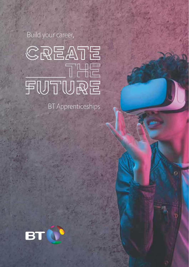Build your career,



**BT** Apprenticeships

 $\delta$ 

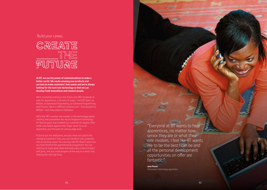### Build your career,



**At BT, we use the power of communications to make a better world. We create amazing new products and services to make customers' lives easier and we're always looking for the next new technology so that we can develop fresh innovations and connect people.** 

We're constantly looking to the future and offer hundreds of roles for apprentices, in all sorts of areas – from BT Sport, to Mobile, to Openreach Engineering, to Software Programming and Finance. We're in different locations too – from Ipswich to Belfast – and many places in between!

We're the UK's number one investor in the technology sector, creating new possibilities like secure fingerprint technology for festival goers that enabled our customers to register their credit card details against their finger veins! So as an apprentice, you'll be part of cutting-edge work.

If you've got the dedication, and you share our passion for changing customers' lives, you can transform your potential into an exciting career. Your journey with BT doesn't end once you have finished the apprenticeship programme. You can continue to share great ideas and seize every chance to learn and grow, and you could progress all the way to a senior role, shaping the next big thing.

"Everyone at BT wants to help apprentices, no matter how senior they are or what their role involves. I feel like BT wants me to be the best I can be and all the personal development opportunities on offer are fantastic."

**Jane Power**  Information Technology apprentice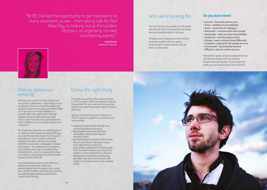"At BT, I've had the opportunity to get involved in so many important causes – from taking calls for Red Nose Day, to helping out at the London Olympics, to organising my own volunteering events."

> **Laura Harvey**  Apprentice Alumnus

### Who we're looking for

The more diverse our people are, the better. We value all sorts of perspectives and ideas. because diversity makes us stronger.

Whatever your background, there are ten particular qualities that we expect everyone here to demonstrate. We call them our Strengths.

### **Do you share them?**

**• Learner – keen and quick to grow** 

- **Drive ambitious to do brilliantly**
- **Team supportive of colleagues**
- **Networker connects with other people**
- **Ownership takes personal responsibility**
- **Analytical careful problem solver**
- **Change open to doing things differently**
- **Customer passion for the people we serve**
- **Commercial fascinated by business**
- **Efficient plans to achieve success**

We look for 'sparks' of great potential that we can develop further with our training programmes and support. If you've got the spark, you can build a great future with BT.



### Making tomorrow amazing

We'll give you award-winning training and recognised qualifications. Depending on your programme, those could go from advanced apprenticeships all the way up to degree level. You'll be given real responsibilities in a properly paid role, where you'll develop valuable practical skills every day. We'll select a role that gives you opportunities to make a difference to our teams, projects and customers.

You'll gain the expertise you need to excel in an industry that's always evolving. We'll give you a warm welcome and plenty of support from day one. That includes a personal development plan and daily encouragement from your peers, colleagues, manager and trainers. The combination of studying and working means you can achieve your ambitions fast. Lots of our apprentices have won industry awards because of the positive impact they've had at BT.

Your development doesn't stop with your apprentice programme. After your apprenticeship and throughout your career here, our BT Academy will keep on providing you with bespoke learning based on the world's best thinking.

# Doing the right thing

Every day our work touches millions of lives in 170 countries. We're committed to making things better for our customers by providing vital services and finding new ways to improve their lives.

We have the following goals to deliver by 2020 in order to support our customers and communities:

- Improve society globally through ever increasing digital connections.
- Help people everywhere live more sustainably, using earth's natural resources wisely.
- Use technology to improve millions more lives, in partnership with good causes. As an apprentice, you'll be an enthusiastic ambassador for these goals – from the determination you bring to our projects, to the dedication you show by taking part in rewarding volunteering activities. Your focus on tomorrow will inspire us to achieve many more amazing things.

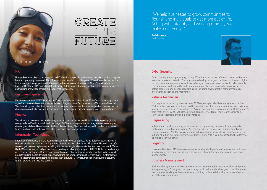

### Our programmes

#### **HR**

Human Resources plays a critical role within BT. We value our people, and we want to make sure that everyone has the opportunity to succeed. The HR teams play a key role in providing core HR services and expert advice to line managers, employees and HR business partners/specialists from across BT. You'll work towards a Chartered Institute of Personnel and Development (CIPD) qualification and you'll gain professional experience and working knowledge across a huge variety of specialisms.

#### **Customer Experience**

For most of our ten million customers, our Customer Care team is the voice of BT. We're the ones people turn to, online or on the phone. We bring our service to life, from superfast broadband to TV, sport and beyond. You'll learn to give a brilliant experience to the customers you work with – whether you become an expert in championing products, diagnosing and fixing technology issues, or identifying new sales opportunities.

#### **Finance**

Your chance to become a chartered management accountant or chartered internal auditor,gaining globally recognised qualifications. You'll work in a range of different, fast-paced and exciting business areas as you develop your skills and knowledge in the field of accountancy. You'll work closely with numbers and people to solve problems and influence the right business decisions and behaviour.

#### **Information Techn**

Information Technology is at the beating heart of our innovative business. Join a Software team and you'll support app development and testing – from the web, to smart phones and BT systems. Network roles offer scope to get involved in planning, installing and testing our global networks. We also have roles within TV and Digital Media, where you will get involved in the design, delivery and support of BT TV. BT has a long heritage of technology innovation. Research and Innovation apprentices work on a variety of cutting-edge research projects working alongside world-experts, inventing the next generation of services that BT customers will use. The teams work across technology areas such as future TV services, mobile networks, cyber security, future networks, and machine learning.

"We help businesses to grow, communities to flourish and individuals to get more out of life. Acting with integrity and working ethically, we make a difference."

**Gavin Patterson**  Chief Executive



### **Cyber Security**

Cyber security is your opportunity to keep BT and our customers safe from current and future network threats and attacks. The programme develops a range of technical skills across digital security, information assurance and risk to help you develop a career path into cyber security. The programme is designed to build a foundation of skills and knowledge in critical areas, before progressing to deeper specialist skills, including cryptography, computer forensics, intelligence gathering and many more.

#### **Vehicle Technician**

You might be surprised by what we do at BT Fleet, our specialist fleet management business. We look after Openreach vehicles, used to maintain the UK's communication network. We also manage vehicles for clients including the AA and National Grid and combined with Openreach's fleet that's over 75,000 vehicles. Joining a garage service team, you'll learn to maintain, service and repair cars and commercial vehicles.

#### **Engineering**

Independent, outdoor working, in all weathers – Engineering careers at BT are uniquely challenging, rewarding and diverse. You can specialise in power, switch, radio or network engineering roles. Whether you're working in business or residential customers' premises, or out and about on our infrastructure, you'll travel a lot. With a 'can-do' attitude, the difference BT makes is in your hands

#### **Logistics**

Two areas that keep BT's business moving forward safely. If you're seeking a varied, active and hands on role, you could specialise in the logistics of complex warehousing and warehouse management.

#### **Business Management**

Business Management - With roles in contract management, business operations and product management, you'll be given the opportunity to add value and make a great contribution to the company. Working with customers and building brilliant relationships so we can better meet the customer needs.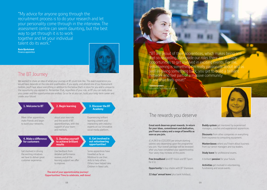"My advice for anyone going through the recruitment process is to do your research and let your personality come through in the interview. The assessment centre can seem daunting, but the best way to get through it is to work together and let your individual talent do its work."

**Rosie Bjorkstrand**  Finance apprentice



## The BT Journey

We wanted to share an idea of what your journey at BT could look like. The exact experience you would have depends on the role and qualification. If you apply, and attend one of our Assessment Centres, you'll hear about everything in addition to the below that's in store for you and is unique to the opportunity you applied to. Remember that, regardless of your role, at BT you can really drive your career and the opportunities are endless. Go as far as you can, build your long-term career and create your future!



**The end of your apprenticeship journey! Opportunities! Time to celebrate, well done!**

"BT are proud of their apprentices, which makes being on feel so rewarding. Alongside our roles there are so many opportunities to get involved in exciting events. For me, volunteering is something I'm really passionate about and as well as giving something back, you get to build a brilliant network and feel part of a massive community – and that feels great!"

**Gemma Lambert**  Information Technology apprentice



## The rewards you deserve

**Great work deserves great rewards. In return for your ideas, commitment and dedication, you'll earn a salary and a range of benefits as soon as you join.** 

 $f14,963$  to  $f20,000$  per annum starting salaries vary depending upon the programme you join. Your overall package will be reviewed after you have completed your apprenticeship. Your salary may increase at this point.

**Free broadband** (and BT Vision and BT Sport) for  $£1$ ).

**Opportunity** to buy shares with BT Sharesave.

22 days' annual leave (plus bank holidays).

**Buddy system** get mentored by experienced managers, coaches and experienced apprentices.

**Discounts** from other companies on everything from insurance to computing equipment.

**Masterclasses** where you'll learn about business from our senior managers and top leaders.

**Study leave** for professional exams.

A brilliant **pension** for your future.

**Activities** get involved in volunteering, fundraising and social events.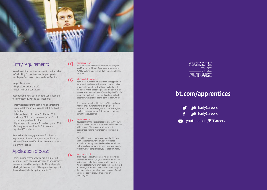

## Entry requirements

As well as all the qualities we mention in the 'who we're looking for' section, we'll expect you to supply proof of these criteria and qualifications:

- Aged 16 or over
- Eligible to work in the UK
- Not in full-time education

Requirements vary, but in general you'll need the following (or equivalent) qualifications:

- Intermediate apprenticeship: no qualifications required although Maths and English skills will be tested
- Advanced apprenticeship: 4 GCSEs at A\*-C including Maths and English or grades 4 to 9 in the new grading structure
- Higher apprenticeship: 2 A Levels at grades A\*-C
- Full degree apprenticeship: 3 A Levels at grades BCC or above

Please check bt.com/apprentices for the exact requirements for each programme, which may include different qualifications or credentials such as a driving licence.

## Application process

There's a good reason why we make our recruit ment process so rigorous. We want to be absolutely sure we take on the right people. Not just people who'll get the most out of the apprenticeship, but those who will also bring the most to BT.

#### 01 Application form

Fill in our online application form and upload your qualification certificates if you already have them. We'll be looking for evidence that you're suitable for life at BT.

#### 02 Situational strengths test

If you meet our minimum criteria on the application form, you'll receive an invite to complete our online situational strengths test within a week. The test will assess you on the strengths that are essential to succeed as an apprentice at BT, ensuring that if you're successful you'll really enjoy working here and will hopefully want to build a long-term career with us.

Once you've completed the test, we'll let you know straight away if we're going to progress your application to the next stage or not. We'll also give you feedback on your top 3 strengths, even if you haven't been successful.

#### Video interview

03

If successful in the situational strengths test you will then be invited to complete an online video interview within a week, The interview will ask specific questions relating to your chosen apprenticeship scheme.

We will then review your interview and will let you know the outcome within a week. If you are s uccessful in passing the video interview we will then look at available vacancies in your chosen area and let you know if we can progress you to the next stage.

#### 04 Assessment centre

If you have demonstrated what we are looking for and we have a vacancy in your location, we will then review your application alongside other applications. We aren't able to invite every candidate that makes it to this stage to an assessment centre and so we pick the most suitable candidates for assessment. We will ensure to keep you regularly updated of your progress.



# bt.com/apprentices

- @BTEarlyCareers
- @BTEarlyCareers
- voutube.com/BTCareers